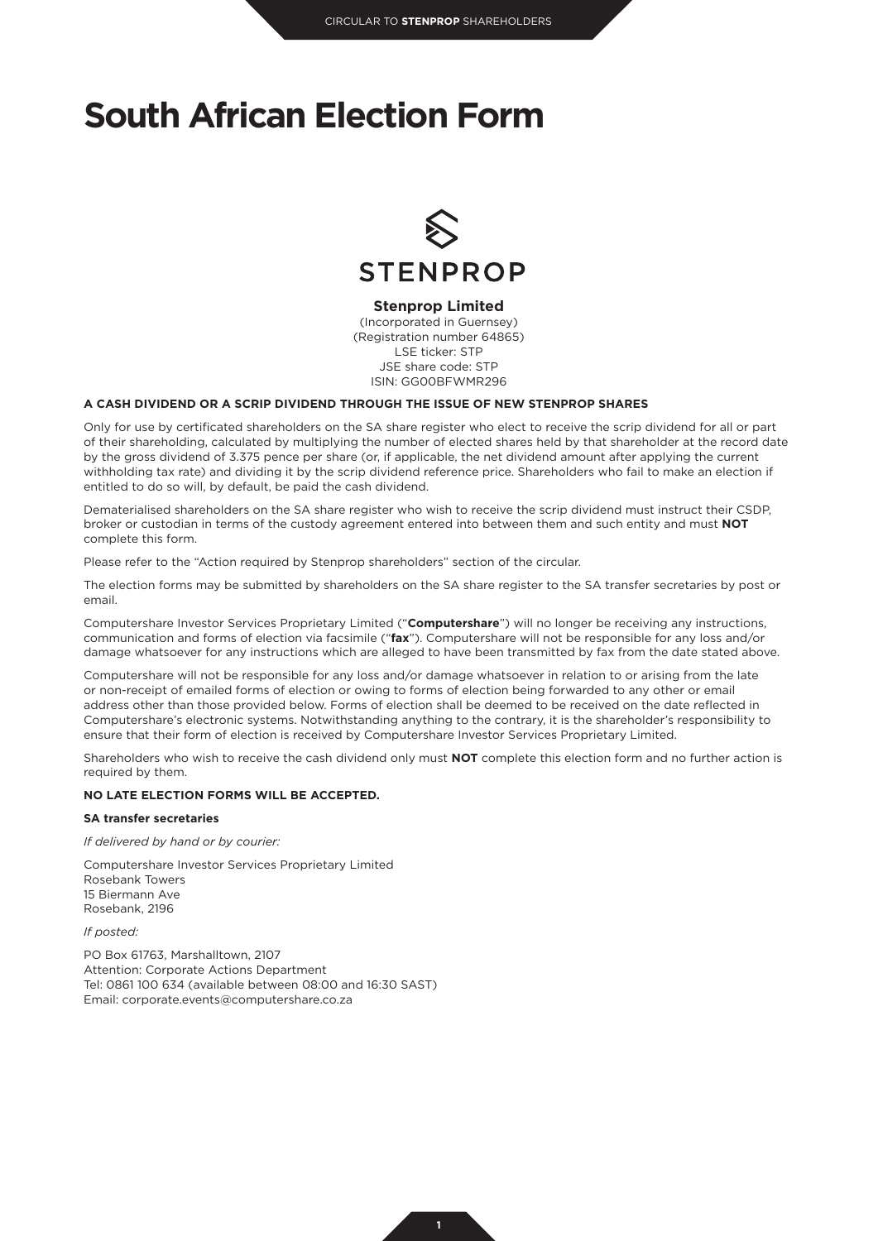# **South African Election Form**



### **Stenprop Limited**

(Incorporated in Guernsey) (Registration number 64865) LSE ticker: STP JSE share code: STP ISIN: GG00BFWMR296

#### **A CASH DIVIDEND OR A SCRIP DIVIDEND THROUGH THE ISSUE OF NEW STENPROP SHARES**

Only for use by certificated shareholders on the SA share register who elect to receive the scrip dividend for all or part of their shareholding, calculated by multiplying the number of elected shares held by that shareholder at the record date by the gross dividend of 3.375 pence per share (or, if applicable, the net dividend amount after applying the current withholding tax rate) and dividing it by the scrip dividend reference price. Shareholders who fail to make an election if entitled to do so will, by default, be paid the cash dividend.

Dematerialised shareholders on the SA share register who wish to receive the scrip dividend must instruct their CSDP, broker or custodian in terms of the custody agreement entered into between them and such entity and must **NOT** complete this form.

Please refer to the "Action required by Stenprop shareholders" section of the circular.

The election forms may be submitted by shareholders on the SA share register to the SA transfer secretaries by post or email.

Computershare Investor Services Proprietary Limited ("**Computershare**") will no longer be receiving any instructions, communication and forms of election via facsimile ("**fax**"). Computershare will not be responsible for any loss and/or damage whatsoever for any instructions which are alleged to have been transmitted by fax from the date stated above.

Computershare will not be responsible for any loss and/or damage whatsoever in relation to or arising from the late or non-receipt of emailed forms of election or owing to forms of election being forwarded to any other or email address other than those provided below. Forms of election shall be deemed to be received on the date reflected in Computershare's electronic systems. Notwithstanding anything to the contrary, it is the shareholder's responsibility to ensure that their form of election is received by Computershare Investor Services Proprietary Limited.

Shareholders who wish to receive the cash dividend only must **NOT** complete this election form and no further action is required by them.

### **NO LATE ELECTION FORMS WILL BE ACCEPTED.**

#### **SA transfer secretaries**

*If delivered by hand or by courier:*

Computershare Investor Services Proprietary Limited Rosebank Towers 15 Biermann Ave

Rosebank, 2196

*If posted:*

PO Box 61763, Marshalltown, 2107 Attention: Corporate Actions Department Tel: 0861 100 634 (available between 08:00 and 16:30 SAST) Email: corporate.events@computershare.co.za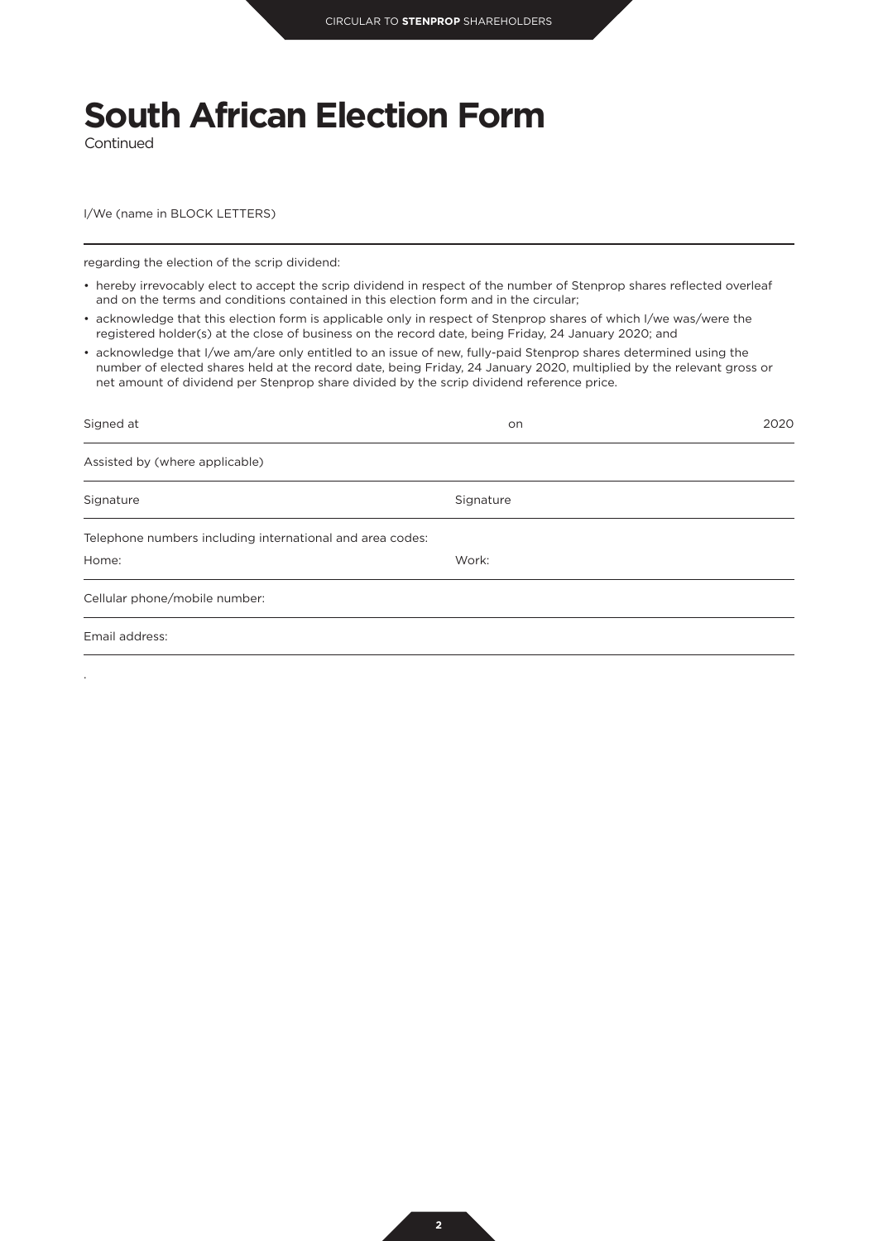# **South African Election Form**

Continued

.

I/We (name in BLOCK LETTERS)

regarding the election of the scrip dividend:

- hereby irrevocably elect to accept the scrip dividend in respect of the number of Stenprop shares reflected overleaf and on the terms and conditions contained in this election form and in the circular;
- acknowledge that this election form is applicable only in respect of Stenprop shares of which I/we was/were the registered holder(s) at the close of business on the record date, being Friday, 24 January 2020; and
- acknowledge that I/we am/are only entitled to an issue of new, fully-paid Stenprop shares determined using the number of elected shares held at the record date, being Friday, 24 January 2020, multiplied by the relevant gross or net amount of dividend per Stenprop share divided by the scrip dividend reference price.

| Signed at                                                 | <b>on</b> | 2020 |
|-----------------------------------------------------------|-----------|------|
| Assisted by (where applicable)                            |           |      |
| Signature                                                 | Signature |      |
| Telephone numbers including international and area codes: |           |      |
| Home:                                                     | Work:     |      |
| Cellular phone/mobile number:                             |           |      |
| Email address:                                            |           |      |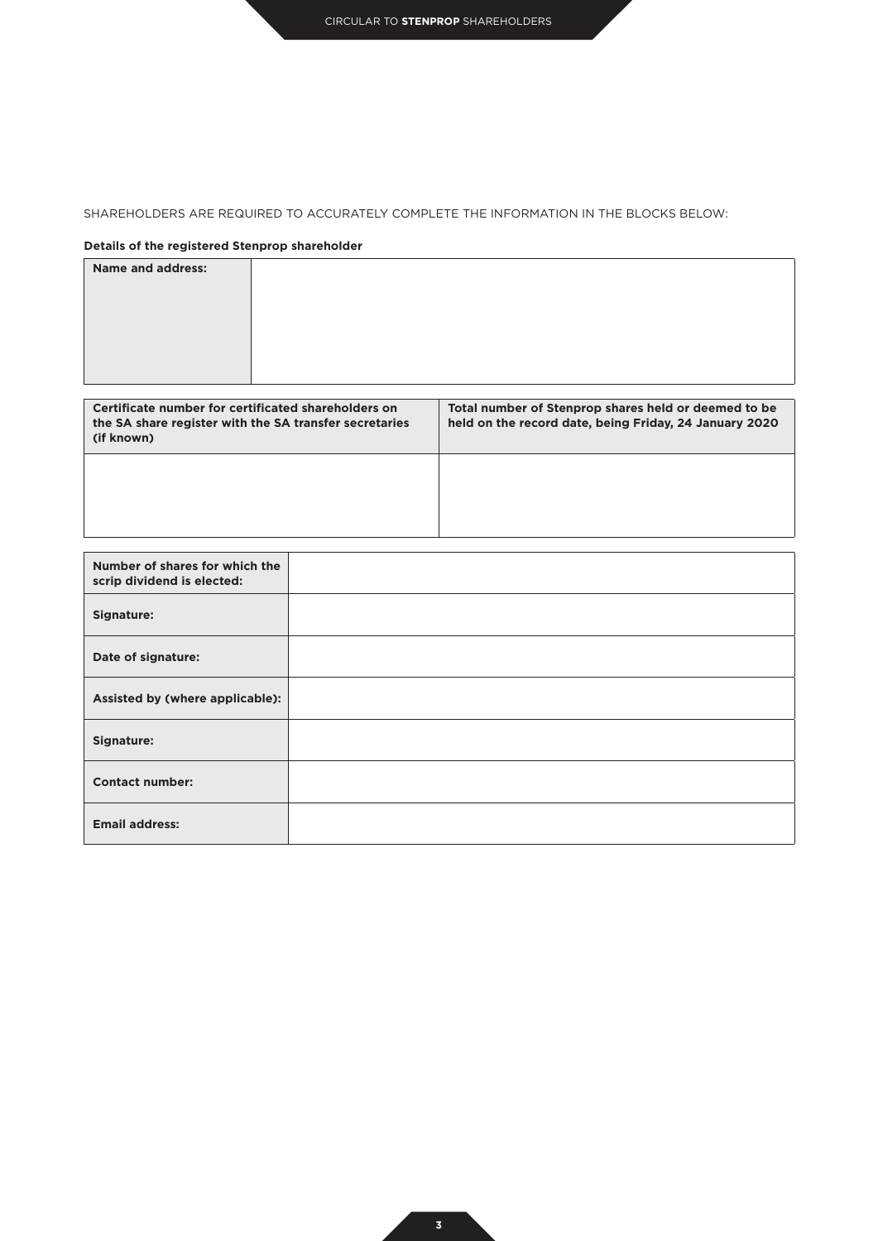## SHAREHOLDERS ARE REQUIRED TO ACCURATELY COMPLETE THE INFORMATION IN THE BLOCKS BELOW:

## **Details of the registered Stenprop shareholder**

| <b>Name and address:</b> |  |
|--------------------------|--|
|                          |  |
|                          |  |
|                          |  |
|                          |  |
|                          |  |

| Certificate number for certificated shareholders on<br>the SA share register with the SA transfer secretaries<br>(if known) | Total number of Stenprop shares held or deemed to be<br>held on the record date, being Friday, 24 January 2020 |
|-----------------------------------------------------------------------------------------------------------------------------|----------------------------------------------------------------------------------------------------------------|
|                                                                                                                             |                                                                                                                |

| Number of shares for which the<br>scrip dividend is elected: |  |
|--------------------------------------------------------------|--|
| <b>Signature:</b>                                            |  |
| Date of signature:                                           |  |
| Assisted by (where applicable):                              |  |
| Signature:                                                   |  |
| <b>Contact number:</b>                                       |  |
| <b>Email address:</b>                                        |  |